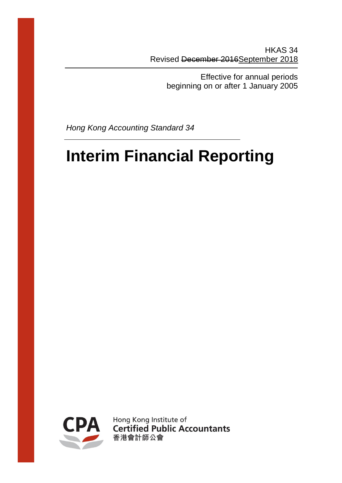HKAS 34 Revised December 2016September 2018

> Effective for annual periods beginning on or after 1 January 2005

*Hong Kong Accounting Standard 34*

# **Interim Financial Reporting**



Hong Kong Institute of<br>Certified Public Accountants 香港會計師公會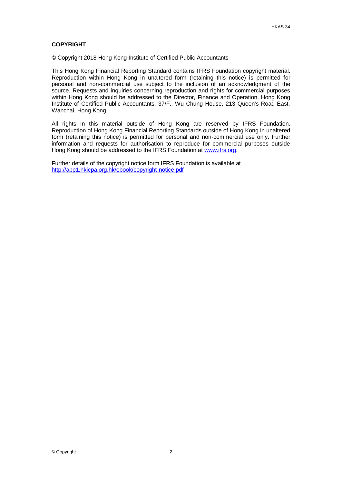#### **COPYRIGHT**

#### © Copyright 2018 Hong Kong Institute of Certified Public Accountants

This Hong Kong Financial Reporting Standard contains IFRS Foundation copyright material. Reproduction within Hong Kong in unaltered form (retaining this notice) is permitted for personal and non-commercial use subject to the inclusion of an acknowledgment of the source. Requests and inquiries concerning reproduction and rights for commercial purposes within Hong Kong should be addressed to the Director, Finance and Operation, Hong Kong Institute of Certified Public Accountants, 37/F., Wu Chung House, 213 Queen's Road East, Wanchai, Hong Kong.

All rights in this material outside of Hong Kong are reserved by IFRS Foundation. Reproduction of Hong Kong Financial Reporting Standards outside of Hong Kong in unaltered form (retaining this notice) is permitted for personal and non-commercial use only. Further information and requests for authorisation to reproduce for commercial purposes outside Hong Kong should be addressed to the IFRS Foundation at www.ifrs.org.

Further details of the copyright notice form IFRS Foundation is available at <http://app1.hkicpa.org.hk/ebook/copyright-notice.pdf>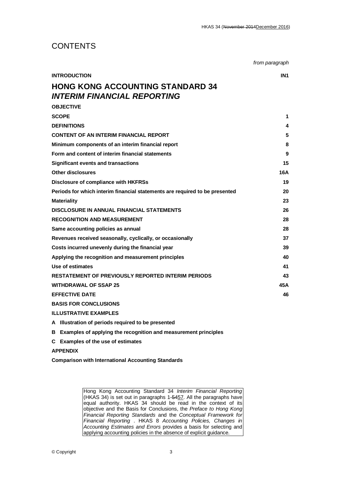# CONTENTS

|                                                                               | from paragraph  |
|-------------------------------------------------------------------------------|-----------------|
| <b>INTRODUCTION</b>                                                           | IN <sub>1</sub> |
| <b>HONG KONG ACCOUNTING STANDARD 34</b><br><b>INTERIM FINANCIAL REPORTING</b> |                 |
| <b>OBJECTIVE</b>                                                              |                 |
| <b>SCOPE</b>                                                                  | 1               |
| <b>DEFINITIONS</b>                                                            | 4               |
| <b>CONTENT OF AN INTERIM FINANCIAL REPORT</b>                                 | 5               |
| Minimum components of an interim financial report                             | 8               |
| Form and content of interim financial statements                              | 9               |
| <b>Significant events and transactions</b>                                    | 15              |
| <b>Other disclosures</b>                                                      | 16A             |
| Disclosure of compliance with HKFRSs                                          | 19              |
| Periods for which interim financial statements are required to be presented   | 20              |
| <b>Materiality</b>                                                            | 23              |
| DISCLOSURE IN ANNUAL FINANCIAL STATEMENTS                                     | 26              |
| <b>RECOGNITION AND MEASUREMENT</b>                                            | 28              |
| Same accounting policies as annual                                            | 28              |
| Revenues received seasonally, cyclically, or occasionally                     | 37              |
| Costs incurred unevenly during the financial year                             | 39              |
| Applying the recognition and measurement principles                           | 40              |
| Use of estimates                                                              | 41              |
| <b>RESTATEMENT OF PREVIOUSLY REPORTED INTERIM PERIODS</b>                     | 43              |
| <b>WITHDRAWAL OF SSAP 25</b>                                                  | 45 A            |
| <b>EFFECTIVE DATE</b>                                                         | 46              |
| <b>BASIS FOR CONCLUSIONS</b>                                                  |                 |
| <b>ILLUSTRATIVE EXAMPLES</b>                                                  |                 |
| A Illustration of periods required to be presented                            |                 |
| B Examples of applying the recognition and measurement principles             |                 |

**C Examples of the use of estimates**

#### **APPENDIX**

**Comparison with International Accounting Standards**

Hong Kong Accounting Standard 34 *Interim Financial Reporting*  (HKAS 34) is set out in paragraphs 1-5457. All the paragraphs have equal authority. HKAS 34 should be read in the context of its objective and the Basis for Conclusions, the *Preface to Hong Kong Financial Reporting Standards* and the *Conceptual Framework for Financial Reporting* . HKAS 8 *Accounting Policies, Changes in Accounting Estimates and Errors* provides a basis for selecting and applying accounting policies in the absence of explicit guidance.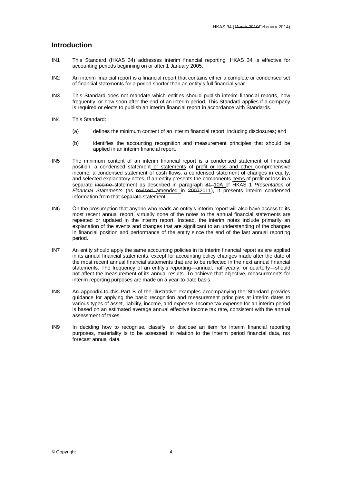## **Introduction**

- IN1 This Standard (HKAS 34) addresses interim financial reporting. HKAS 34 is effective for accounting periods beginning on or after 1 January 2005.
- IN2 An interim financial report is a financial report that contains either a complete or condensed set of financial statements for a period shorter than an entity's full financial year.
- IN3 This Standard does not mandate which entities should publish interim financial reports, how frequently, or how soon after the end of an interim period. This Standard applies if a company is required or elects to publish an interim financial report in accordance with Standards.
- IN4 This Standard:
	- (a) defines the minimum content of an interim financial report, including disclosures; and
	- (b) identifies the accounting recognition and measurement principles that should be applied in an interim financial report.
- IN5 The minimum content of an interim financial report is a condensed statement of financial position, a condensed statement or statements of profit or loss and other comprehensive income, a condensed statement of cash flows, a condensed statement of changes in equity, and selected explanatory notes. If an entity presents the components items of profit or loss in a separate income statement as described in paragraph 81-10A of HKAS 1 Presentation of *Financial Statements* (as revised amended in 20072011), it presents interim condensed information from that separate statement.
- IN6 On the presumption that anyone who reads an entity's interim report will also have access to its most recent annual report, virtually none of the notes to the annual financial statements are repeated or updated in the interim report. Instead, the interim notes include primarily an explanation of the events and changes that are significant to an understanding of the changes in financial position and performance of the entity since the end of the last annual reporting period.
- IN7 An entity should apply the same accounting policies in its interim financial report as are applied in its annual financial statements, except for accounting policy changes made after the date of the most recent annual financial statements that are to be reflected in the next annual financial statements. The frequency of an entity's reporting—annual, half-yearly, or quarterly—should not affect the measurement of its annual results. To achieve that objective, measurements for interim reporting purposes are made on a year-to-date basis.
- IN8 An appendix to this Part B of the illustrative examples accompanying the Standard provides guidance for applying the basic recognition and measurement principles at interim dates to various types of asset, liability, income, and expense. Income tax expense for an interim period is based on an estimated average annual effective income tax rate, consistent with the annual assessment of taxes.
- IN9 In deciding how to recognise, classify, or disclose an item for interim financial reporting purposes, materiality is to be assessed in relation to the interim period financial data, not forecast annual data.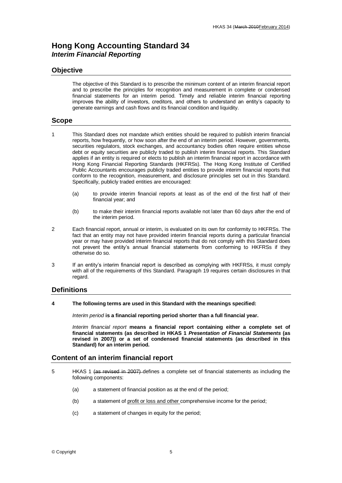# **Hong Kong Accounting Standard 34** *Interim Financial Reporting*

## **Objective**

The objective of this Standard is to prescribe the minimum content of an interim financial report and to prescribe the principles for recognition and measurement in complete or condensed financial statements for an interim period. Timely and reliable interim financial reporting improves the ability of investors, creditors, and others to understand an entity's capacity to generate earnings and cash flows and its financial condition and liquidity.

#### **Scope**

- 1 This Standard does not mandate which entities should be required to publish interim financial reports, how frequently, or how soon after the end of an interim period. However, governments, securities regulators, stock exchanges, and accountancy bodies often require entities whose debt or equity securities are publicly traded to publish interim financial reports. This Standard applies if an entity is required or elects to publish an interim financial report in accordance with Hong Kong Financial Reporting Standards (HKFRSs). The Hong Kong Institute of Certified Public Accountants encourages publicly traded entities to provide interim financial reports that conform to the recognition, measurement, and disclosure principles set out in this Standard. Specifically, publicly traded entities are encouraged:
	- (a) to provide interim financial reports at least as of the end of the first half of their financial year; and
	- (b) to make their interim financial reports available not later than 60 days after the end of the interim period.
- 2 Each financial report, annual or interim, is evaluated on its own for conformity to HKFRSs. The fact that an entity may not have provided interim financial reports during a particular financial year or may have provided interim financial reports that do not comply with this Standard does not prevent the entity's annual financial statements from conforming to HKFRSs if they otherwise do so.
- 3 If an entity's interim financial report is described as complying with HKFRSs, it must comply with all of the requirements of this Standard. Paragraph 19 requires certain disclosures in that regard.

# **Definitions**

**4 The following terms are used in this Standard with the meanings specified:**

*Interim period* **is a financial reporting period shorter than a full financial year.**

*Interim financial report* **means a financial report containing either a complete set of financial statements (as described in HKAS 1** *Presentation of Financial Statements* **(as revised in 2007)) or a set of condensed financial statements (as described in this Standard) for an interim period.**

## **Content of an interim financial report**

- 5 HKAS 1 (as revised in 2007) defines a complete set of financial statements as including the following components:
	- (a) a statement of financial position as at the end of the period;
	- (b) a statement of profit or loss and other comprehensive income for the period;
	- (c) a statement of changes in equity for the period;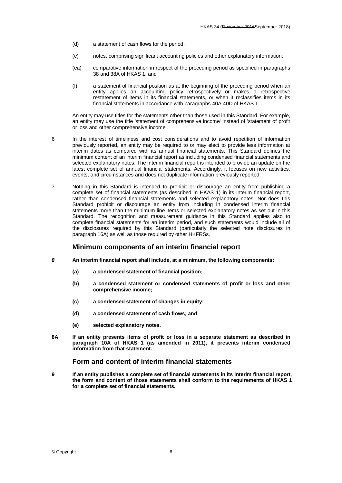- (d) a statement of cash flows for the period;
- (e) notes, comprising significant accounting policies and other explanatory information;
- (ea) comparative information in respect of the preceding period as specified in paragraphs 38 and 38A of HKAS 1; and
- (f) a statement of financial position as at the beginning of the preceding period when an entity applies an accounting policy retrospectively or makes a retrospective restatement of items in its financial statements, or when it reclassifies items in its financial statements in accordance with paragraphs 40A-40D of HKAS 1.

An entity may use titles for the statements other than those used in this Standard. For example, an entity may use the title 'statement of comprehensive income' instead of 'statement of profit or loss and other comprehensive income'.

- 6 In the interest of timeliness and cost considerations and to avoid repetition of information previously reported, an entity may be required to or may elect to provide less information at interim dates as compared with its annual financial statements. This Standard defines the minimum content of an interim financial report as including condensed financial statements and selected explanatory notes. The interim financial report is intended to provide an update on the latest complete set of annual financial statements. Accordingly, it focuses on new activities, events, and circumstances and does not duplicate information previously reported.
- 7 Nothing in this Standard is intended to prohibit or discourage an entity from publishing a complete set of financial statements (as described in HKAS 1) in its interim financial report, rather than condensed financial statements and selected explanatory notes. Nor does this Standard prohibit or discourage an entity from including in condensed interim financial statements more than the minimum line items or selected explanatory notes as set out in this Standard. The recognition and measurement guidance in this Standard applies also to complete financial statements for an interim period, and such statements would include all of the disclosures required by this Standard (particularly the selected note disclosures in paragraph 16A) as well as those required by other HKFRSs.

## **Minimum components of an interim financial report**

- *8* **An interim financial report shall include, at a minimum, the following components:**
	- **(a) a condensed statement of financial position;**
	- **(b) a condensed statement or condensed statements of profit or loss and other comprehensive income;**
	- **(c) a condensed statement of changes in equity;**
	- **(d) a condensed statement of cash flows; and**
	- **(e) selected explanatory notes.**
- **8A If an entity presents items of profit or loss in a separate statement as described in paragraph 10A of HKAS 1 (as amended in 2011), it presents interim condensed information from that statement.**

# **Form and content of interim financial statements**

**9 If an entity publishes a complete set of financial statements in its interim financial report, the form and content of those statements shall conform to the requirements of HKAS 1 for a complete set of financial statements.**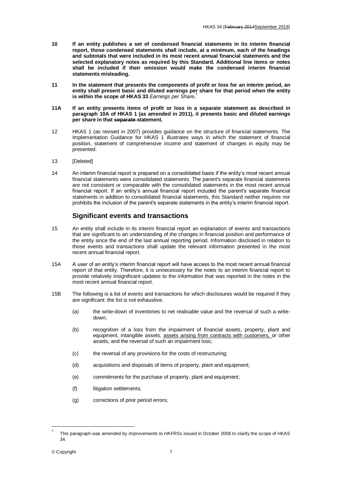- **10 If an entity publishes a set of condensed financial statements in its interim financial report, those condensed statements shall include, at a minimum, each of the headings and subtotals that were included in its most recent annual financial statements and the selected explanatory notes as required by this Standard. Additional line items or notes shall be included if their omission would make the condensed interim financial statements misleading.**
- **11 In the statement that presents the components of profit or loss for an interim period, an entity shall present basic and diluted earnings per share for that period when the entity is within the scope of HKAS 33** *Earnings per Share***. \***
- **11A If an entity presents items of profit or loss in a separate statement as described in paragraph 10A of HKAS 1 (as amended in 2011), it presents basic and diluted earnings per share in that separate statement.**
- 12 HKAS 1 (as revised in 2007) provides guidance on the structure of financial statements. The Implementation Guidance for HKAS 1 illustrates ways in which the statement of financial position, statement of comprehensive income and statement of changes in equity may be presented.
- 13 [Deleted]
- 14 An interim financial report is prepared on a consolidated basis if the entity's most recent annual financial statements were consolidated statements. The parent's separate financial statements are not consistent or comparable with the consolidated statements in the most recent annual financial report. If an entity's annual financial report included the parent's separate financial statements in addition to consolidated financial statements, this Standard neither requires nor prohibits the inclusion of the parent's separate statements in the entity's interim financial report.

## **Significant events and transactions**

- 15 An entity shall include in its interim financial report an explanation of events and transactions that are significant to an understanding of the changes in financial position and performance of the entity since the end of the last annual reporting period. Information disclosed in relation to those events and transactions shall update the relevant information presented in the most recent annual financial report.
- 15A A user of an entity's interim financial report will have access to the most recent annual financial report of that entity. Therefore, it is unnecessary for the notes to an interim financial report to provide relatively insignificant updates to the information that was reported in the notes in the most recent annual financial report.
- 15B The following is a list of events and transactions for which disclosures would be required if they are significant: the list is not exhaustive.
	- (a) the write-down of inventories to net realisable value and the reversal of such a writedown;
	- (b) recognition of a loss from the impairment of financial assets, property, plant and equipment, intangible assets, assets arising from contracts with customers, or other assets, and the reversal of such an impairment loss;
	- (c) the reversal of any provisions for the costs of restructuring;
	- (d) acquisitions and disposals of items of property, plant and equipment;
	- (e) commitments for the purchase of property, plant and equipment;
	- (f) litigation settlements;
	- (g) corrections of prior period errors;

<u>.</u>

<sup>\*</sup> This paragraph was amended by *Improvements to HKFRSs* issued in October 2008 to clarify the scope of HKAS 34.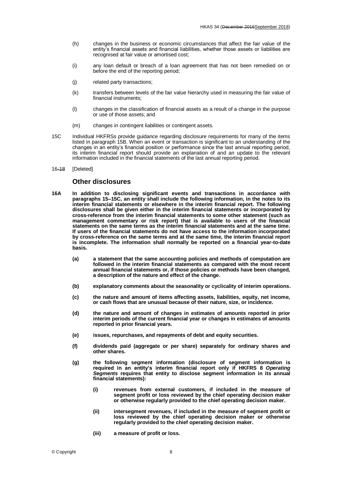- (h) changes in the business or economic circumstances that affect the fair value of the entity's financial assets and financial liabilities, whether those assets or liabilities are recognised at fair value or amortised cost;
- (i) any loan default or breach of a loan agreement that has not been remedied on or before the end of the reporting period;
- (j) related party transactions;
- (k) transfers between levels of the fair value hierarchy used in measuring the fair value of financial instruments;
- (l) changes in the classification of financial assets as a result of a change in the purpose or use of those assets; and
- (m) changes in contingent liabilities or contingent assets.
- 15C Individual HKFRSs provide guidance regarding disclosure requirements for many of the items listed in paragraph 15B. When an event or transaction is significant to an understanding of the changes in an entity's financial position or performance since the last annual reporting period, its interim financial report should provide an explanation of and an update to the relevant information included in the financial statements of the last annual reporting period.
- 16-18 [Deleted]

#### **Other disclosures**

- **16A In addition to disclosing significant events and transactions in accordance with paragraphs 15–15C, an entity shall include the following information, in the notes to its interim financial statements or elsewhere in the interim financial report. The following disclosures shall be given either in the interim financial statements or incorporated by cross-reference from the interim financial statements to some other statement (such as management commentary or risk report) that is available to users of the financial statements on the same terms as the interim financial statements and at the same time. If users of the financial statements do not have access to the information incorporated by cross-reference on the same terms and at the same time, the interim financial report is incomplete. The information shall normally be reported on a financial year-to-date basis.**
	- **(a) a statement that the same accounting policies and methods of computation are followed in the interim financial statements as compared with the most recent annual financial statements or, if those policies or methods have been changed, a description of the nature and effect of the change.**
	- **(b) explanatory comments about the seasonality or cyclicality of interim operations.**
	- **(c) the nature and amount of items affecting assets, liabilities, equity, net income, or cash flows that are unusual because of their nature, size, or incidence.**
	- **(d) the nature and amount of changes in estimates of amounts reported in prior interim periods of the current financial year or changes in estimates of amounts reported in prior financial years.**
	- **(e) issues, repurchases, and repayments of debt and equity securities.**
	- **(f) dividends paid (aggregate or per share) separately for ordinary shares and other shares.**
	- **(g) the following segment information (disclosure of segment information is required in an entity's interim financial report only if HKFRS 8** *Operating Segments* **requires that entity to disclose segment information in its annual financial statements):**
		- **(i) revenues from external customers, if included in the measure of segment profit or loss reviewed by the chief operating decision maker or otherwise regularly provided to the chief operating decision maker.**
		- **(ii) intersegment revenues, if included in the measure of segment profit or loss reviewed by the chief operating decision maker or otherwise regularly provided to the chief operating decision maker.**
		- **(iii) a measure of profit or loss.**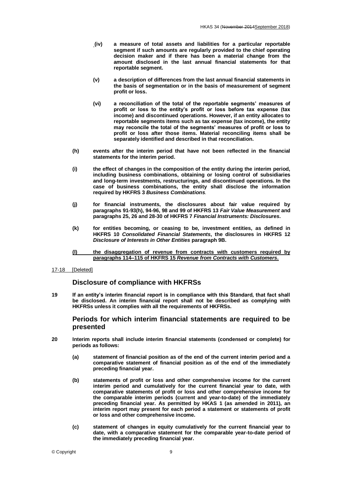- **(iv) a measure of total assets and liabilities for a particular reportable segment if such amounts are regularly provided to the chief operating decision maker and if there has been a material change from the amount disclosed in the last annual financial statements for that reportable segment.**
- **(v) a description of differences from the last annual financial statements in the basis of segmentation or in the basis of measurement of segment profit or loss.**
- **(vi) a reconciliation of the total of the reportable segments' measures of profit or loss to the entity's profit or loss before tax expense (tax income) and discontinued operations. However, if an entity allocates to reportable segments items such as tax expense (tax income), the entity may reconcile the total of the segments' measures of profit or loss to profit or loss after those items. Material reconciling items shall be separately identified and described in that reconciliation.**
- **(h) events after the interim period that have not been reflected in the financial statements for the interim period.**
- **(i) the effect of changes in the composition of the entity during the interim period, including business combinations, obtaining or losing control of subsidiaries and long-term investments, restructurings, and discontinued operations. In the case of business combinations, the entity shall disclose the information required by HKFRS 3** *Business Combinations.*
- **(j) for financial instruments, the disclosures about fair value required by paragraphs 91-93(h), 94-96, 98 and 99 of HKFRS 13** *Fair Value Measurement* **and paragraphs 25, 26 and 28-30 of HKFRS 7** *Financial Instruments: Disclosures***.**
- **(k) for entities becoming, or ceasing to be, investment entities, as defined in HKFRS 10** *Consolidated Financial Statements***, the disclosures in HKFRS 12**  *Disclosure of Interests in Other Entities* **paragraph 9B.**
- **(l) the disaggregation of revenue from contracts with customers required by paragraphs 114–115 of HKFRS 15** *Revenue from Contracts with Customers***.**

#### 17-18 [Deleted]

#### **Disclosure of compliance with HKFRSs**

**19 If an entity's interim financial report is in compliance with this Standard, that fact shall be disclosed. An interim financial report shall not be described as complying with HKFRSs unless it complies with all the requirements of HKFRSs.**

## **Periods for which interim financial statements are required to be presented**

- **20 Interim reports shall include interim financial statements (condensed or complete) for periods as follows:**
	- **(a) statement of financial position as of the end of the current interim period and a comparative statement of financial position as of the end of the immediately preceding financial year.**
	- **(b) statements of profit or loss and other comprehensive income for the current interim period and cumulatively for the current financial year to date, with comparative statements of profit or loss and other comprehensive income for the comparable interim periods (current and year-to-date) of the immediately preceding financial year. As permitted by HKAS 1 (as amended in 2011), an interim report may present for each period a statement or statements of profit or loss and other comprehensive income.**
	- **(c) statement of changes in equity cumulatively for the current financial year to date, with a comparative statement for the comparable year-to-date period of the immediately preceding financial year.**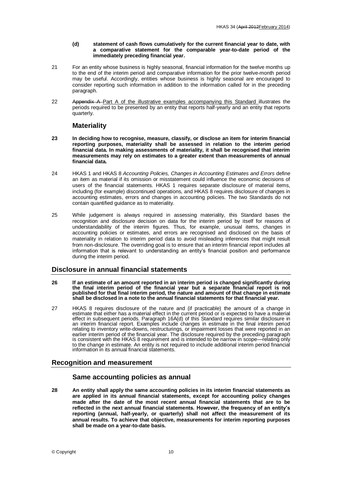#### **(d) statement of cash flows cumulatively for the current financial year to date, with a comparative statement for the comparable year-to-date period of the immediately preceding financial year.**

- 21 For an entity whose business is highly seasonal, financial information for the twelve months up to the end of the interim period and comparative information for the prior twelve-month period may be useful. Accordingly, entities whose business is highly seasonal are encouraged to consider reporting such information in addition to the information called for in the preceding paragraph.
- 22 Appendix A–Part A of the illustrative examples accompanying this Standard illustrates the periods required to be presented by an entity that reports half-yearly and an entity that reports quarterly.

## **Materiality**

- **23 In deciding how to recognise, measure, classify, or disclose an item for interim financial reporting purposes, materiality shall be assessed in relation to the interim period financial data. In making assessments of materiality, it shall be recognised that interim measurements may rely on estimates to a greater extent than measurements of annual financial data.**
- 24 HKAS 1 and HKAS 8 *Accounting Policies, Changes in Accounting Estimates and Errors* define an item as material if its omission or misstatement could influence the economic decisions of users of the financial statements. HKAS 1 requires separate disclosure of material items, including (for example) discontinued operations, and HKAS 8 requires disclosure of changes in accounting estimates, errors and changes in accounting policies. The two Standards do not contain quantified guidance as to materiality.
- 25 While judgement is always required in assessing materiality, this Standard bases the recognition and disclosure decision on data for the interim period by itself for reasons of understandability of the interim figures. Thus, for example, unusual items, changes in accounting policies or estimates, and errors are recognised and disclosed on the basis of materiality in relation to interim period data to avoid misleading inferences that might result from non-disclosure. The overriding goal is to ensure that an interim financial report includes all information that is relevant to understanding an entity's financial position and performance during the interim period.

# **Disclosure in annual financial statements**

- **26 lf an estimate of an amount reported in an interim period is changed significantly during the final interim period of the financial year but a separate financial report is not published for that final interim period, the nature and amount of that change in estimate shall be disclosed in a note to the annual financial statements for that financial year.**
- 27 HKAS 8 requires disclosure of the nature and (if practicable) the amount of a change in estimate that either has a material effect in the current period or is expected to have a material effect in subsequent periods. Paragraph 16A(d) of this Standard requires similar disclosure in an interim financial report. Examples include changes in estimate in the final interim period relating to inventory write-downs, restructurings, or impairment losses that were reported in an earlier interim period of the financial year. The disclosure required by the preceding paragraph is consistent with the HKAS 8 requirement and is intended to be narrow in scope—relating only to the change in estimate. An entity is not required to include additional interim period financial information in its annual financial statements.

## **Recognition and measurement**

## **Same accounting policies as annual**

**28 An entity shall apply the same accounting policies in its interim financial statements as are applied in its annual financial statements, except for accounting policy changes made after the date of the most recent annual financial statements that are to be reflected in the next annual financial statements. However, the frequency of an entity's reporting (annual, half-yearly, or quarterly) shall not affect the measurement of its annual results. To achieve that objective, measurements for interim reporting purposes shall be made on a year-to-date basis.**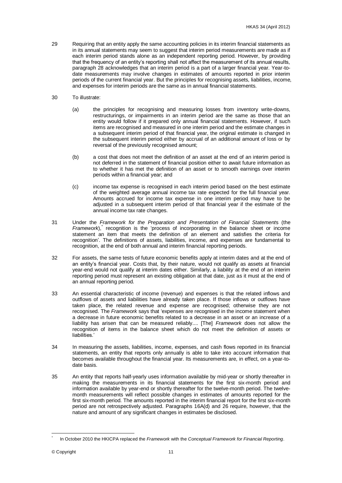- 29 Requiring that an entity apply the same accounting policies in its interim financial statements as in its annual statements may seem to suggest that interim period measurements are made as if each interim period stands alone as an independent reporting period. However, by providing that the frequency of an entity's reporting shall not affect the measurement of its annual results, paragraph 28 acknowledges that an interim period is a part of a larger financial year. Year-todate measurements may involve changes in estimates of amounts reported in prior interim periods of the current financial year. But the principles for recognising assets, liabilities, income, and expenses for interim periods are the same as in annual financial statements.
- 30 To illustrate:
	- (a) the principles for recognising and measuring losses from inventory write-downs, restructurings, or impairments in an interim period are the same as those that an entity would follow if it prepared only annual financial statements. However, if such items are recognised and measured in one interim period and the estimate changes in a subsequent interim period of that financial year, the original estimate is changed in the subsequent interim period either by accrual of an additional amount of loss or by reversal of the previously recognised amount;
	- (b) a cost that does not meet the definition of an asset at the end of an interim period is not deferred in the statement of financial position either to await future information as to whether it has met the definition of an asset or to smooth earnings over interim periods within a financial year; and
	- (c) income tax expense is recognised in each interim period based on the best estimate of the weighted average annual income tax rate expected for the full financial year. Amounts accrued for income tax expense in one interim period may have to be adjusted in a subsequent interim period of that financial year if the estimate of the annual income tax rate changes.
- 31 Under the *Framework for the Preparation and Presentation of Financial Statement*s (the Framework),<sup>\*</sup> recognition is the 'process of incorporating in the balance sheet or income statement an item that meets the definition of an element and satisfies the criteria for recognition'. The definitions of assets, liabilities, income, and expenses are fundamental to recognition, at the end of both annual and interim financial reporting periods.
- 32 For assets, the same tests of future economic benefits apply at interim dates and at the end of an entity's financial year. Costs that, by their nature, would not qualify as assets at financial year-end would not qualify at interim dates either. Similarly, a liability at the end of an interim reporting period must represent an existing obligation at that date, just as it must at the end of an annual reporting period.
- 33 An essential characteristic of income (revenue) and expenses is that the related inflows and outflows of assets and liabilities have already taken place. If those inflows or outflows have taken place, the related revenue and expense are recognised; otherwise they are not recognised. The *Framework* says that 'expenses are recognised in the income statement when a decrease in future economic benefits related to a decrease in an asset or an increase of a liability has arisen that can be measured reliably.... [The] *Framework* does not allow the recognition of items in the balance sheet which do not meet the definition of assets or liabilities.
- 34 In measuring the assets, liabilities, income, expenses, and cash flows reported in its financial statements, an entity that reports only annually is able to take into account information that becomes available throughout the financial year. Its measurements are, in effect, on a year-todate basis.
- 35 An entity that reports half-yearly uses information available by mid-year or shortly thereafter in making the measurements in its financial statements for the first six-month period and information available by year-end or shortly thereafter for the twelve-month period. The twelvemonth measurements will reflect possible changes in estimates of amounts reported for the first six-month period. The amounts reported in the interim financial report for the first six-month period are not retrospectively adjusted. Paragraphs 16A(d) and 26 require, however, that the nature and amount of any significant changes in estimates be disclosed.

<u>.</u> \*

In October 2010 the HKICPA replaced the *Framework* with the *Conceptual Framework for Financial Reporting*.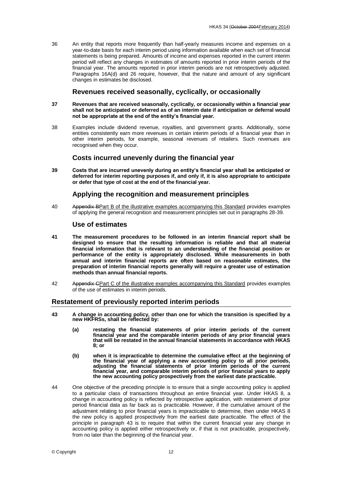36 An entity that reports more frequently than half-yearly measures income and expenses on a year-to-date basis for each interim period using information available when each set of financial statements is being prepared. Amounts of income and expenses reported in the current interim period will reflect any changes in estimates of amounts reported in prior interim periods of the financial year. The amounts reported in prior interim periods are not retrospectively adjusted. Paragraphs 16A(d) and 26 require, however, that the nature and amount of any significant changes in estimates be disclosed.

## **Revenues received seasonally, cyclically, or occasionally**

#### **37 Revenues that are received seasonally, cyclically, or occasionally within a financial year shall not be anticipated or deferred as of an interim date if anticipation or deferral would not be appropriate at the end of the entity's financial year.**

38 Examples include dividend revenue, royalties, and government grants. Additionally, some entities consistently earn more revenues in certain interim periods of a financial year than in other interim periods, for example, seasonal revenues of retailers. Such revenues are recognised when they occur.

## **Costs incurred unevenly during the financial year**

**39 Costs that are incurred unevenly during an entity's financial year shall be anticipated or deferred for interim reporting purposes if, and only if, it is also appropriate to anticipate or defer that type of cost at the end of the financial year.**

### **Applying the recognition and measurement principles**

40 Appendix BPart B of the illustrative examples accompanying this Standard provides examples of applying the general recognition and measurement principles set out in paragraphs 28-39.

## **Use of estimates**

- **41 The measurement procedures to be followed in an interim financial report shall be designed to ensure that the resulting information is reliable and that all material financial information that is relevant to an understanding of the financial position or performance of the entity is appropriately disclosed. While measurements in both annual and interim financial reports are often based on reasonable estimates, the preparation of interim financial reports generally will require a greater use of estimation methods than annual financial reports.**
- 42 Appendix CPart C of the illustrative examples accompanying this Standard provides examples of the use of estimates in interim periods.

## **Restatement of previously reported interim periods**

- **43 A change in accounting policy, other than one for which the transition is specified by a new HKFRSs, shall be reflected by:** 
	- **(a) restating the financial statements of prior interim periods of the current financial year and the comparable interim periods of any prior financial years that will be restated in the annual financial statements in accordance with HKAS 8; or**
	- **(b) when it is impracticable to determine the cumulative effect at the beginning of the financial year of applying a new accounting policy to all prior periods, adjusting the financial statements of prior interim periods of the current financial year, and comparable interim periods of prior financial years to apply the new accounting policy prospectively from the earliest date practicable.**
- 44 One objective of the preceding principle is to ensure that a single accounting policy is applied to a particular class of transactions throughout an entire financial year. Under HKAS 8, a change in accounting policy is reflected by retrospective application, with restatement of prior period financial data as far back as is practicable. However, if the cumulative amount of the adjustment relating to prior financial years is impracticable to determine, then under HKAS 8 the new policy is applied prospectively from the earliest date practicable. The effect of the principle in paragraph 43 is to require that within the current financial year any change in accounting policy is applied either retrospectively or, if that is not practicable, prospectively, from no later than the beginning of the financial year.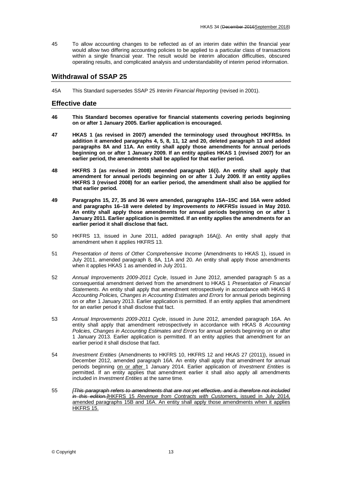45 To allow accounting changes to be reflected as of an interim date within the financial year would allow two differing accounting policies to be applied to a particular class of transactions within a single financial year. The result would be interim allocation difficulties, obscured operating results, and complicated analysis and understandability of interim period information.

## **Withdrawal of SSAP 25**

45A This Standard supersedes SSAP 25 *Interim Financial Reporting* (revised in 2001).

#### **Effective date**

- **46 This Standard becomes operative for financial statements covering periods beginning on or after 1 January 2005. Earlier application is encouraged.**
- **47 HKAS 1 (as revised in 2007) amended the terminology used throughout HKFRSs. In addition it amended paragraphs 4, 5, 8, 11, 12 and 20, deleted paragraph 13 and added paragraphs 8A and 11A. An entity shall apply those amendments for annual periods beginning on or after 1 January 2009. If an entity applies HKAS 1 (revised 2007) for an earlier period, the amendments shall be applied for that earlier period.**
- **48 HKFRS 3 (as revised in 2008) amended paragraph 16(i). An entity shall apply that amendment for annual periods beginning on or after 1 July 2009. If an entity applies HKFRS 3 (revised 2008) for an earlier period, the amendment shall also be applied for that earlier period.**
- **49 Paragraphs 15, 27, 35 and 36 were amended, paragraphs 15A–15C and 16A were added and paragraphs 16–18 were deleted by** *Improvements to HKFRSs* **issued in May 2010. An entity shall apply those amendments for annual periods beginning on or after 1 January 2011. Earlier application is permitted. If an entity applies the amendments for an earlier period it shall disclose that fact.**
- 50 HKFRS 13, issued in June 2011, added paragraph 16A(j). An entity shall apply that amendment when it applies HKFRS 13.
- 51 *Presentation of Items of Other Comprehensive Income* (Amendments to HKAS 1), issued in July 2011, amended paragraph 8, 8A, 11A and 20. An entity shall apply those amendments when it applies HKAS 1 as amended in July 2011.
- 52 *Annual Improvements 2009-2011 Cycle*, Issued in June 2012, amended paragraph 5 as a consequential amendment derived from the amendment to HKAS 1 *Presentation of Financial Statements*. An entity shall apply that amendment retrospectively in accordance with HKAS 8 *Accounting Policies, Changes in Accounting Estimates and Errors* for annual periods beginning on or after 1 January 2013. Earlier application is permitted. If an entity applies that amendment for an earlier period it shall disclose that fact.
- 53 *Annual Improvements 2009-2011 Cycle*, issued in June 2012, amended paragraph 16A. An entity shall apply that amendment retrospectively in accordance with HKAS 8 *Accounting Policies, Changes in Accounting Estimates and Errors* for annual periods beginning on or after 1 January 2013. Earlier application is permitted. If an entity applies that amendment for an earlier period it shall disclose that fact.
- 54 *Investment Entities* (Amendments to HKFRS 10, HKFRS 12 and HKAS 27 (2011)), issued in December 2012, amended paragraph 16A. An entity shall apply that amendment for annual periods beginning on or after 1 January 2014. Earlier application of *Investment Entities* is permitted. If an entity applies that amendment earlier it shall also apply all amendments included in *Investment Entities* at the same time.
- 55 *[This paragraph refers to amendments that are not yet effective, and is therefore not included in this edition.]*HKFRS 15 *Revenue from Contracts with Customers*, issued in July 2014, amended paragraphs 15B and 16A. An entity shall apply those amendments when it applies HKFRS 15.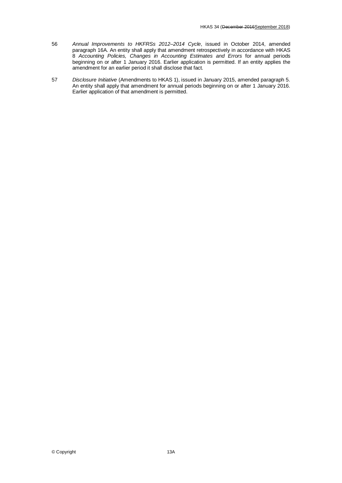- 56 *Annual Improvements to HKFRSs 2012–2014 Cycle*, issued in October 2014, amended paragraph 16A. An entity shall apply that amendment retrospectively in accordance with HKAS 8 *Accounting Policies, Changes in Accounting Estimates and Errors* for annual periods beginning on or after 1 January 2016. Earlier application is permitted. If an entity applies the amendment for an earlier period it shall disclose that fact.
- 57 *Disclosure Initiative* (Amendments to HKAS 1), issued in January 2015, amended paragraph 5. An entity shall apply that amendment for annual periods beginning on or after 1 January 2016. Earlier application of that amendment is permitted.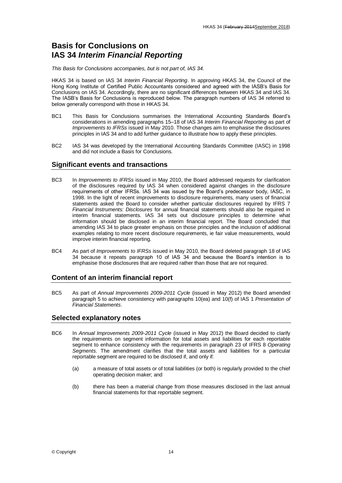# **Basis for Conclusions on IAS 34** *Interim Financial Reporting*

*This Basis for Conclusions accompanies, but is not part of, IAS 34.*

HKAS 34 is based on IAS 34 *Interim Financial Reporting*. In approving HKAS 34, the Council of the Hong Kong Institute of Certified Public Accountants considered and agreed with the IASB's Basis for Conclusions on IAS 34. Accordingly, there are no significant differences between HKAS 34 and IAS 34. The IASB's Basis for Conclusions is reproduced below. The paragraph numbers of IAS 34 referred to below generally correspond with those in HKAS 34.

- BC1 This Basis for Conclusions summarises the International Accounting Standards Board's considerations in amending paragraphs 15–18 of IAS 34 *Interim Financial Reporting* as part of *Improvements to IFRSs* issued in May 2010. Those changes aim to emphasise the disclosures principles in IAS 34 and to add further guidance to illustrate how to apply these principles.
- BC2 IAS 34 was developed by the International Accounting Standards Committee (IASC) in 1998 and did not include a Basis for Conclusions.

### **Significant events and transactions**

- BC3 In *Improvements to IFRSs* issued in May 2010, the Board addressed requests for clarification of the disclosures required by IAS 34 when considered against changes in the disclosure requirements of other IFRSs. IAS 34 was issued by the Board's predecessor body, IASC, in 1998. In the light of recent improvements to disclosure requirements, many users of financial statements asked the Board to consider whether particular disclosures required by IFRS 7 *Financial Instruments: Disclosures* for annual financial statements should also be required in interim financial statements. IAS 34 sets out disclosure principles to determine what information should be disclosed in an interim financial report. The Board concluded that amending IAS 34 to place greater emphasis on those principles and the inclusion of additional examples relating to more recent disclosure requirements, ie fair value measurements, would improve interim financial reporting.
- BC4 As part of *Improvements to IFRSs* issued in May 2010, the Board deleted paragraph 18 of IAS 34 because it repeats paragraph 10 of IAS 34 and because the Board's intention is to emphasise those disclosures that are required rather than those that are not required.

# **Content of an interim financial report**

BC5 As part of *Annual Improvements 2009-2011 Cycle* (issued in May 2012) the Board amended paragraph 5 to achieve consistency with paragraphs 10(ea) and 10(f) of IAS 1 *Presentation of Financial Statements*.

## **Selected explanatory notes**

- BC6 In *Annual Improvements 2009-2011 Cycle* (issued in May 2012) the Board decided to clarify the requirements on segment information for total assets and liabilities for each reportable segment to enhance consistency with the requirements in paragraph 23 of IFRS 8 *Operating Segments*. The amendment clarifies that the total assets and liabilities for a particular reportable segment are required to be disclosed if, and only if:
	- (a) a measure of total assets or of total liabilities (or both) is regularly provided to the chief operating decision maker; and
	- (b) there has been a material change from those measures disclosed in the last annual financial statements for that reportable segment.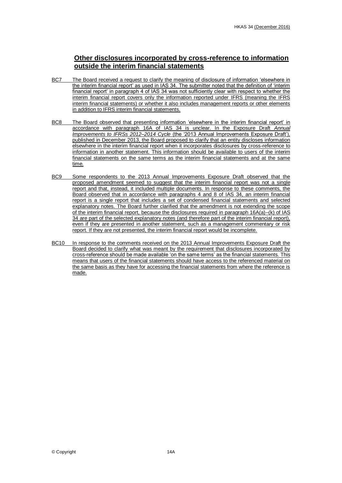# **Other disclosures incorporated by cross-reference to information outside the interim financial statements**

- BC7 The Board received a request to clarify the meaning of disclosure of information 'elsewhere in the interim financial report' as used in IAS 34. The submitter noted that the definition of 'interim financial report' in paragraph 4 of IAS 34 was not sufficiently clear with respect to whether the interim financial report covers only the information reported under IFRS (meaning the IFRS interim financial statements) or whether it also includes management reports or other elements in addition to IFRS interim financial statements.
- BC8 The Board observed that presenting information 'elsewhere in the interim financial report' in accordance with paragraph 16A of IAS 34 is unclear. In the Exposure Draft *Annual Improvements to IFRSs 2012–2014 Cycle* (the '2013 Annual Improvements Exposure Draft'), published in December 2013, the Board proposed to clarify that an entity discloses information elsewhere in the interim financial report when it incorporates disclosures by cross-reference to information in another statement. This information should be available to users of the interim financial statements on the same terms as the interim financial statements and at the same time.
- BC9 Some respondents to the 2013 Annual Improvements Exposure Draft observed that the proposed amendment seemed to suggest that the interim financial report was not a single report and that, instead, it included multiple documents. In response to these comments, the Board observed that in accordance with paragraphs 4 and 8 of IAS 34, an interim financial report is a single report that includes a set of condensed financial statements and selected explanatory notes. The Board further clarified that the amendment is not extending the scope of the interim financial report, because the disclosures required in paragraph 16A(a)–(k) of IAS 34 are part of the selected explanatory notes (and therefore part of the interim financial report), even if they are presented in another statement, such as a management commentary or risk report. If they are not presented, the interim financial report would be incomplete.
- BC10 In response to the comments received on the 2013 Annual Improvements Exposure Draft the Board decided to clarify what was meant by the requirement that disclosures incorporated by cross-reference should be made available 'on the same terms' as the financial statements. This means that users of the financial statements should have access to the referenced material on the same basis as they have for accessing the financial statements from where the reference is made.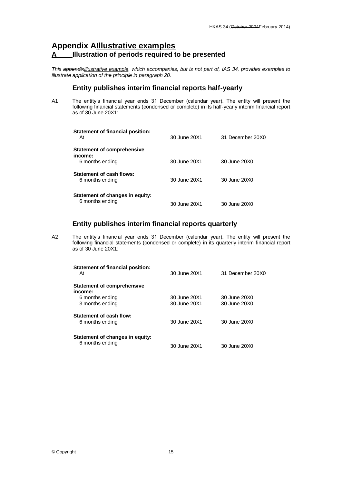# **Appendix AIllustrative examples A Illustration of periods required to be presented**

*This appendixillustrative example, which accompanies, but is not part of, IAS 34, provides examples to illustrate application of the principle in paragraph 20.*

## **Entity publishes interim financial reports half-yearly**

A1 The entity's financial year ends 31 December (calendar year). The entity will present the following financial statements (condensed or complete) in its half-yearly interim financial report as of 30 June 20X1:

| Statement of financial position:<br>At                          | 30 June 20X1 | 31 December 20X0 |  |
|-----------------------------------------------------------------|--------------|------------------|--|
| <b>Statement of comprehensive</b><br>income:<br>6 months ending | 30 June 20X1 | 30 June 20X0     |  |
| Statement of cash flows:<br>6 months ending                     | 30 June 20X1 | 30 June 20X0     |  |
| Statement of changes in equity:<br>6 months ending              | 30 June 20X1 | 30 June 20X0     |  |

# **Entity publishes interim financial reports quarterly**

A2 The entity's financial year ends 31 December (calendar year). The entity will present the following financial statements (condensed or complete) in its quarterly interim financial report as of 30 June 20X1:

| <b>Statement of financial position:</b><br>At      | 30 June 20X1 | 31 December 20X0 |  |
|----------------------------------------------------|--------------|------------------|--|
| <b>Statement of comprehensive</b><br>income:       |              |                  |  |
| 6 months ending                                    | 30 June 20X1 | 30 June 20X0     |  |
| 3 months ending                                    | 30 June 20X1 | 30 June 20X0     |  |
| Statement of cash flow:<br>6 months ending         | 30 June 20X1 | 30 June 20X0     |  |
| Statement of changes in equity:<br>6 months ending | 30 June 20X1 | 30 June 20X0     |  |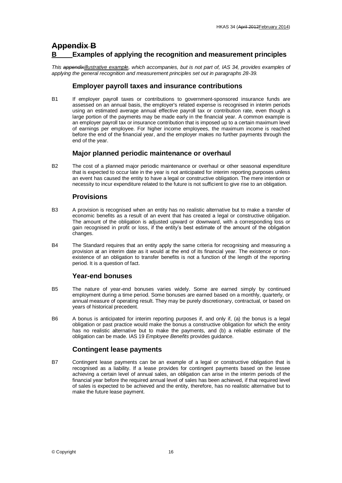# **Appendix B B Examples of applying the recognition and measurement principles**

*This appendixillustrative example, which accompanies, but is not part of, IAS 34, provides examples of applying the general recognition and measurement principles set out in paragraphs 28-39.*

## **Employer payroll taxes and insurance contributions**

B1 If employer payroll taxes or contributions to government-sponsored insurance funds are assessed on an annual basis, the employer's related expense is recognised in interim periods using an estimated average annual effective payroll tax or contribution rate, even though a large portion of the payments may be made early in the financial year. A common example is an employer payroll tax or insurance contribution that is imposed up to a certain maximum level of earnings per employee. For higher income employees, the maximum income is reached before the end of the financial year, and the employer makes no further payments through the end of the year.

# **Major planned periodic maintenance or overhaul**

B2 The cost of a planned major periodic maintenance or overhaul or other seasonal expenditure that is expected to occur late in the year is not anticipated for interim reporting purposes unless an event has caused the entity to have a legal or constructive obligation. The mere intention or necessity to incur expenditure related to the future is not sufficient to give rise to an obligation.

# **Provisions**

- B3 A provision is recognised when an entity has no realistic alternative but to make a transfer of economic benefits as a result of an event that has created a legal or constructive obligation. The amount of the obligation is adjusted upward or downward, with a corresponding loss or gain recognised in profit or loss, if the entity's best estimate of the amount of the obligation changes.
- B4 The Standard requires that an entity apply the same criteria for recognising and measuring a provision at an interim date as it would at the end of its financial year. The existence or nonexistence of an obligation to transfer benefits is not a function of the length of the reporting period. It is a question of fact.

# **Year-end bonuses**

- B5 The nature of year-end bonuses varies widely. Some are earned simply by continued employment during a time period. Some bonuses are earned based on a monthly, quarterly, or annual measure of operating result. They may be purely discretionary, contractual, or based on years of historical precedent.
- B6 A bonus is anticipated for interim reporting purposes if, and only if, (a) the bonus is a legal obligation or past practice would make the bonus a constructive obligation for which the entity has no realistic alternative but to make the payments, and (b) a reliable estimate of the obligation can be made. IAS 19 *Employee Benefits* provides guidance.

# **Contingent lease payments**

B7 Contingent lease payments can be an example of a legal or constructive obligation that is recognised as a liability. If a lease provides for contingent payments based on the lessee achieving a certain level of annual sales, an obligation can arise in the interim periods of the financial year before the required annual level of sales has been achieved, if that required level of sales is expected to be achieved and the entity, therefore, has no realistic alternative but to make the future lease payment.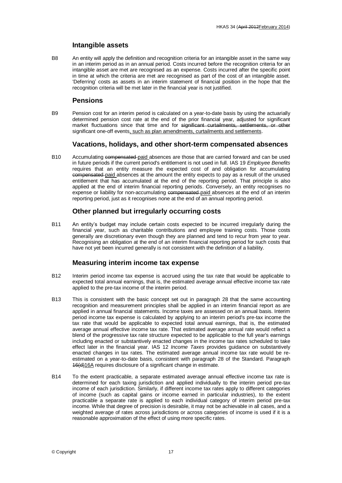## **Intangible assets**

B8 An entity will apply the definition and recognition criteria for an intangible asset in the same way in an interim period as in an annual period. Costs incurred before the recognition criteria for an intangible asset are met are recognised as an expense. Costs incurred after the specific point in time at which the criteria are met are recognised as part of the cost of an intangible asset. 'Deferring' costs as assets in an interim statement of financial position in the hope that the recognition criteria will be met later in the financial year is not justified.

## **Pensions**

B9 Pension cost for an interim period is calculated on a year-to-date basis by using the actuarially determined pension cost rate at the end of the prior financial year, adjusted for significant market fluctuations since that time and for significant curtailments, settlements, or other significant one-off events, such as plan amendments, curtailments and settlements.

## **Vacations, holidays, and other short-term compensated absences**

B10 Accumulating compensated paid absences are those that are carried forward and can be used in future periods if the current period's entitlement is not used in full. IAS 19 *Employee Benefits* requires that an entity measure the expected cost of and obligation for accumulating compensated paid absences at the amount the entity expects to pay as a result of the unused entitlement that has accumulated at the end of the reporting period. That principle is also applied at the end of interim financial reporting periods. Conversely, an entity recognises no expense or liability for non-accumulating compensated paid absences at the end of an interim reporting period, just as it recognises none at the end of an annual reporting period.

# **Other planned but irregularly occurring costs**

B11 An entity's budget may include certain costs expected to be incurred irregularly during the financial year, such as charitable contributions and employee training costs. Those costs generally are discretionary even though they are planned and tend to recur from year to year. Recognising an obligation at the end of an interim financial reporting period for such costs that have not yet been incurred generally is not consistent with the definition of a liability.

## **Measuring interim income tax expense**

- B12 Interim period income tax expense is accrued using the tax rate that would be applicable to expected total annual earnings, that is, the estimated average annual effective income tax rate applied to the pre-tax income of the interim period.
- B13 This is consistent with the basic concept set out in paragraph 28 that the same accounting recognition and measurement principles shall be applied in an interim financial report as are applied in annual financial statements. Income taxes are assessed on an annual basis. Interim period income tax expense is calculated by applying to an interim period's pre-tax income the tax rate that would be applicable to expected total annual earnings, that is, the estimated average annual effective income tax rate. That estimated average annual rate would reflect a blend of the progressive tax rate structure expected to be applicable to the full year's earnings including enacted or substantively enacted changes in the income tax rates scheduled to take effect later in the financial year. IAS 12 *Income Taxes* provides guidance on substantively enacted changes in tax rates. The estimated average annual income tax rate would be reestimated on a year-to-date basis, consistent with paragraph 28 of the Standard. Paragraph 16(d)16A requires disclosure of a significant change in estimate.
- B14 To the extent practicable, a separate estimated average annual effective income tax rate is determined for each taxing jurisdiction and applied individually to the interim period pre-tax income of each jurisdiction. Similarly, if different income tax rates apply to different categories of income (such as capital gains or income earned in particular industries), to the extent practicable a separate rate is applied to each individual category of interim period pre-tax income. While that degree of precision is desirable, it may not be achievable in all cases, and a weighted average of rates across jurisdictions or across categories of income is used if it is a reasonable approximation of the effect of using more specific rates.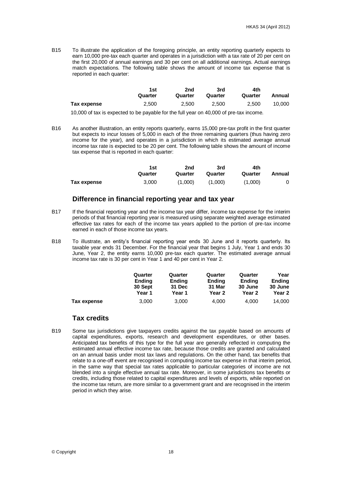B15 To illustrate the application of the foregoing principle, an entity reporting quarterly expects to earn 10,000 pre-tax each quarter and operates in a jurisdiction with a tax rate of 20 per cent on the first 20,000 of annual earnings and 30 per cent on all additional earnings. Actual earnings match expectations. The following table shows the amount of income tax expense that is reported in each quarter:

|             | 1st     | 2nd     | 3rd     | 4th     |        |
|-------------|---------|---------|---------|---------|--------|
|             | Quarter | Quarter | Quarter | Quarter | Annual |
| Tax expense | 2.500   | 2.500   | 2.500   | 2.500   | 10.000 |

10,000 of tax is expected to be payable for the full year on 40,000 of pre-tax income.

B16 As another illustration, an entity reports quarterly, earns 15,000 pre-tax profit in the first quarter but expects to incur losses of 5,000 in each of the three remaining quarters (thus having zero income for the year), and operates in a jurisdiction in which its estimated average annual income tax rate is expected to be 20 per cent. The following table shows the amount of income tax expense that is reported in each quarter:

|             | 1st<br>Quarter | 2nd<br>Quarter | 3rd<br>Quarter | 4th<br>Quarter | Annual |
|-------------|----------------|----------------|----------------|----------------|--------|
| Tax expense | 3.000          | (1.000)        | (1.000)        | (1,000)        |        |

# **Difference in financial reporting year and tax year**

- B17 If the financial reporting year and the income tax year differ, income tax expense for the interim periods of that financial reporting year is measured using separate weighted average estimated effective tax rates for each of the income tax years applied to the portion of pre-tax income earned in each of those income tax years.
- B18 To illustrate, an entity's financial reporting year ends 30 June and it reports quarterly. Its taxable year ends 31 December. For the financial year that begins 1 July, Year 1 and ends 30 June, Year 2, the entity earns 10,000 pre-tax each quarter. The estimated average annual income tax rate is 30 per cent in Year 1 and 40 per cent in Year 2.

|             | Quarter       |               | Quarter       | Quarter | Year          |
|-------------|---------------|---------------|---------------|---------|---------------|
|             | <b>Ending</b> | <b>Ending</b> | <b>Ending</b> | Endina  | <b>Ending</b> |
|             | 30 Sept       | 31 Dec        | 31 Mar        | 30 June | 30 June       |
|             | Year 1        | Year 1        | Year 2        | Year 2  | Year 2        |
| Tax expense | 3.000         | 3.000         | 4.000         | 4.000   | 14.000        |

# **Tax credits**

B19 Some tax jurisdictions give taxpayers credits against the tax payable based on amounts of capital expenditures, exports, research and development expenditures, or other bases. Anticipated tax benefits of this type for the full year are generally reflected in computing the estimated annual effective income tax rate, because those credits are granted and calculated on an annual basis under most tax laws and regulations. On the other hand, tax benefits that relate to a one-off event are recognised in computing income tax expense in that interim period, in the same way that special tax rates applicable to particular categories of income are not blended into a single effective annual tax rate. Moreover, in some jurisdictions tax benefits or credits, including those related to capital expenditures and levels of exports, while reported on the income tax return, are more similar to a government grant and are recognised in the interim period in which they arise.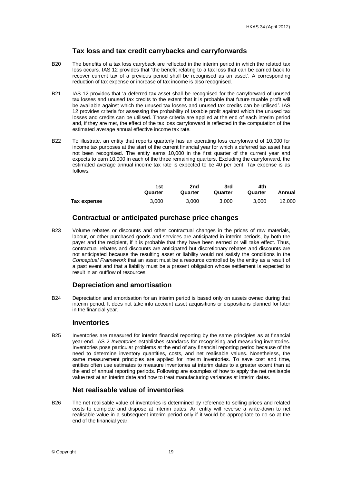## **Tax loss and tax credit carrybacks and carryforwards**

- B20 The benefits of a tax loss carryback are reflected in the interim period in which the related tax loss occurs. IAS 12 provides that 'the benefit relating to a tax loss that can be carried back to recover current tax of a previous period shall be recognised as an asset'. A corresponding reduction of tax expense or increase of tax income is also recognised.
- B21 IAS 12 provides that 'a deferred tax asset shall be recognised for the carryforward of unused tax losses and unused tax credits to the extent that it is probable that future taxable profit will be available against which the unused tax losses and unused tax credits can be utilised'. IAS 12 provides criteria for assessing the probability of taxable profit against which the unused tax losses and credits can be utilised. Those criteria are applied at the end of each interim period and, if they are met, the effect of the tax loss carryforward is reflected in the computation of the estimated average annual effective income tax rate.
- B22 To illustrate, an entity that reports quarterly has an operating loss carryforward of 10,000 for income tax purposes at the start of the current financial year for which a deferred tax asset has not been recognised. The entity earns 10,000 in the first quarter of the current year and expects to earn 10,000 in each of the three remaining quarters. Excluding the carryforward, the estimated average annual income tax rate is expected to be 40 per cent. Tax expense is as follows:

|             | 1st<br>Quarter | 2nd<br>Quarter | 3rd<br>Quarter | 4th<br>Quarter | Annual |
|-------------|----------------|----------------|----------------|----------------|--------|
| Tax expense | 3.000          | 3.000          | 3.000          | 3.000          | 12.000 |

## **Contractual or anticipated purchase price changes**

B23 Volume rebates or discounts and other contractual changes in the prices of raw materials, labour, or other purchased goods and services are anticipated in interim periods, by both the payer and the recipient, if it is probable that they have been earned or will take effect. Thus, contractual rebates and discounts are anticipated but discretionary rebates and discounts are not anticipated because the resulting asset or liability would not satisfy the conditions in the *Conceptual Framework* that an asset must be a resource controlled by the entity as a result of a past event and that a liability must be a present obligation whose settlement is expected to result in an outflow of resources.

#### **Depreciation and amortisation**

B24 Depreciation and amortisation for an interim period is based only on assets owned during that interim period. It does not take into account asset acquisitions or dispositions planned for later in the financial year.

#### **Inventories**

B25 Inventories are measured for interim financial reporting by the same principles as at financial year-end. IAS 2 *Inventories* establishes standards for recognising and measuring inventories. Inventories pose particular problems at the end of any financial reporting period because of the need to determine inventory quantities, costs, and net realisable values. Nonetheless, the same measurement principles are applied for interim inventories. To save cost and time, entities often use estimates to measure inventories at interim dates to a greater extent than at the end of annual reporting periods. Following are examples of how to apply the net realisable value test at an interim date and how to treat manufacturing variances at interim dates.

## **Net realisable value of inventories**

B26 The net realisable value of inventories is determined by reference to selling prices and related costs to complete and dispose at interim dates. An entity will reverse a write-down to net realisable value in a subsequent interim period only if it would be appropriate to do so at the end of the financial year.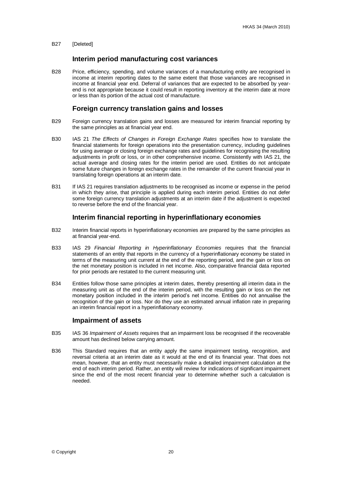#### B27 [Deleted]

## **Interim period manufacturing cost variances**

B28 Price, efficiency, spending, and volume variances of a manufacturing entity are recognised in income at interim reporting dates to the same extent that those variances are recognised in income at financial year end. Deferral of variances that are expected to be absorbed by yearend is not appropriate because it could result in reporting inventory at the interim date at more or less than its portion of the actual cost of manufacture.

#### **Foreign currency translation gains and losses**

- B29 Foreign currency translation gains and losses are measured for interim financial reporting by the same principles as at financial year end.
- B30 IAS 21 *The Effects of Changes in Foreign Exchange Rates* specifies how to translate the financial statements for foreign operations into the presentation currency, including guidelines for using average or closing foreign exchange rates and guidelines for recognising the resulting adjustments in profit or loss, or in other comprehensive income. Consistently with IAS 21, the actual average and closing rates for the interim period are used. Entities do not anticipate some future changes in foreign exchange rates in the remainder of the current financial year in translating foreign operations at an interim date.
- B31 If IAS 21 requires translation adjustments to be recognised as income or expense in the period in which they arise, that principle is applied during each interim period. Entities do not defer some foreign currency translation adjustments at an interim date if the adjustment is expected to reverse before the end of the financial year.

### **Interim financial reporting in hyperinflationary economies**

- B32 Interim financial reports in hyperinflationary economies are prepared by the same principles as at financial year-end.
- B33 IAS 29 *Financial Reporting in Hyperinflationary Economies* requires that the financial statements of an entity that reports in the currency of a hyperinflationary economy be stated in terms of the measuring unit current at the end of the reporting period, and the gain or loss on the net monetary position is included in net income. Also, comparative financial data reported for prior periods are restated to the current measuring unit.
- B34 Entities follow those same principles at interim dates, thereby presenting all interim data in the measuring unit as of the end of the interim period, with the resulting gain or loss on the net monetary position included in the interim period's net income. Entities do not annualise the recognition of the gain or loss. Nor do they use an estimated annual inflation rate in preparing an interim financial report in a hyperinflationary economy.

#### **Impairment of assets**

- B35 IAS 36 *Impairment of Assets* requires that an impairment loss be recognised if the recoverable amount has declined below carrying amount.
- B36 This Standard requires that an entity apply the same impairment testing, recognition, and reversal criteria at an interim date as it would at the end of its financial year. That does not mean, however, that an entity must necessarily make a detailed impairment calculation at the end of each interim period. Rather, an entity will review for indications of significant impairment since the end of the most recent financial year to determine whether such a calculation is needed.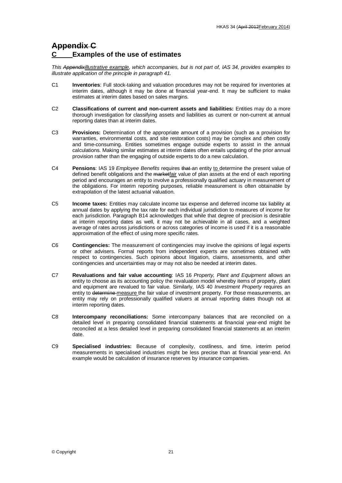# **Appendix C C Examples of the use of estimates**

*This Appendixillustrative example, which accompanies, but is not part of, IAS 34, provides examples to illustrate application of the principle in paragraph 41.* 

- C1 **Inventories**: Full stock-taking and valuation procedures may not be required for inventories at interim dates, although it may be done at financial year-end. It may be sufficient to make estimates at interim dates based on sales margins.
- C2 **Classifications of current and non-current assets and liabilities:** Entities may do a more thorough investigation for classifying assets and liabilities as current or non-current at annual reporting dates than at interim dates.
- C3 **Provisions:** Determination of the appropriate amount of a provision (such as a provision for warranties, environmental costs, and site restoration costs) may be complex and often costly and time-consuming. Entities sometimes engage outside experts to assist in the annual calculations. Making similar estimates at interim dates often entails updating of the prior annual provision rather than the engaging of outside experts to do a new calculation.
- C4 **Pensions**: IAS 19 *Employee Benefits* requires that an entity to determine the present value of defined benefit obligations and the marketfair value of plan assets at the end of each reporting period and encourages an entity to involve a professionally qualified actuary in measurement of the obligations. For interim reporting purposes, reliable measurement is often obtainable by extrapolation of the latest actuarial valuation.
- C5 **Income taxes:** Entities may calculate income tax expense and deferred income tax liability at annual dates by applying the tax rate for each individual jurisdiction to measures of income for each jurisdiction. Paragraph B14 acknowledges that while that degree of precision is desirable at interim reporting dates as well, it may not be achievable in all cases, and a weighted average of rates across jurisdictions or across categories of income is used if it is a reasonable approximation of the effect of using more specific rates.
- C6 **Contingencies:** The measurement of contingencies may involve the opinions of legal experts or other advisers. Formal reports from independent experts are sometimes obtained with respect to contingencies. Such opinions about litigation, claims, assessments, and other contingencies and uncertainties may or may not also be needed at interim dates.
- C7 **Revaluations and fair value accounting**: IAS 16 *Property, Plant and Equipment* allows an entity to choose as its accounting policy the revaluation model whereby items of property, plant and equipment are revalued to fair value. Similarly, IAS 40 *Investment Property* requires an entity to determine measure the fair value of investment property. For those measurements, an entity may rely on professionally qualified valuers at annual reporting dates though not at interim reporting dates.
- C8 **Intercompany reconciliations:** Some intercompany balances that are reconciled on a detailed level in preparing consolidated financial statements at financial year-end might be reconciled at a less detailed level in preparing consolidated financial statements at an interim date.
- C9 **Specialised industries:** Because of complexity, costliness, and time, interim period measurements in specialised industries might be less precise than at financial year-end. An example would be calculation of insurance reserves by insurance companies.